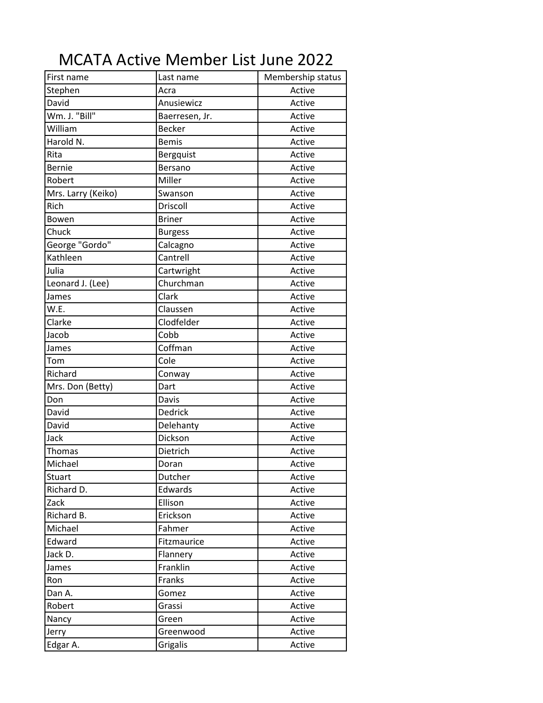## MCATA Active Member List June 2022

| First name         | Last name      | Membership status |
|--------------------|----------------|-------------------|
| Stephen            | Acra           | Active            |
| David              | Anusiewicz     | Active            |
| Wm. J. "Bill"      | Baerresen, Jr. | Active            |
| William            | <b>Becker</b>  | Active            |
| Harold N.          | <b>Bemis</b>   | Active            |
| Rita               | Bergquist      | Active            |
| <b>Bernie</b>      | Bersano        | Active            |
| Robert             | Miller         | Active            |
| Mrs. Larry (Keiko) | Swanson        | Active            |
| Rich               | Driscoll       | Active            |
| Bowen              | <b>Briner</b>  | Active            |
| Chuck              | <b>Burgess</b> | Active            |
| George "Gordo"     | Calcagno       | Active            |
| Kathleen           | Cantrell       | Active            |
| Julia              | Cartwright     | Active            |
| Leonard J. (Lee)   | Churchman      | Active            |
| James              | Clark          | Active            |
| W.E.               | Claussen       | Active            |
| Clarke             | Clodfelder     | Active            |
| Jacob              | Cobb           | Active            |
| James              | Coffman        | Active            |
| Tom                | Cole           | Active            |
| Richard            | Conway         | Active            |
| Mrs. Don (Betty)   | Dart           | Active            |
| Don                | Davis          | Active            |
| David              | Dedrick        | Active            |
| David              | Delehanty      | Active            |
| Jack               | Dickson        | Active            |
| Thomas             | Dietrich       | Active            |
| Michael            | Doran          | Active            |
| Stuart             | Dutcher        | Active            |
| Richard D.         | Edwards        | Active            |
| Zack               | Ellison        | Active            |
| Richard B.         | Erickson       | Active            |
| Michael            | Fahmer         | Active            |
| Edward             | Fitzmaurice    | Active            |
| Jack D.            | Flannery       | Active            |
| James              | Franklin       | Active            |
| Ron                | Franks         | Active            |
| Dan A.             | Gomez          | Active            |
| Robert             | Grassi         | Active            |
| Nancy              | Green          | Active            |
| Jerry              | Greenwood      | Active            |
| Edgar A.           | Grigalis       | Active            |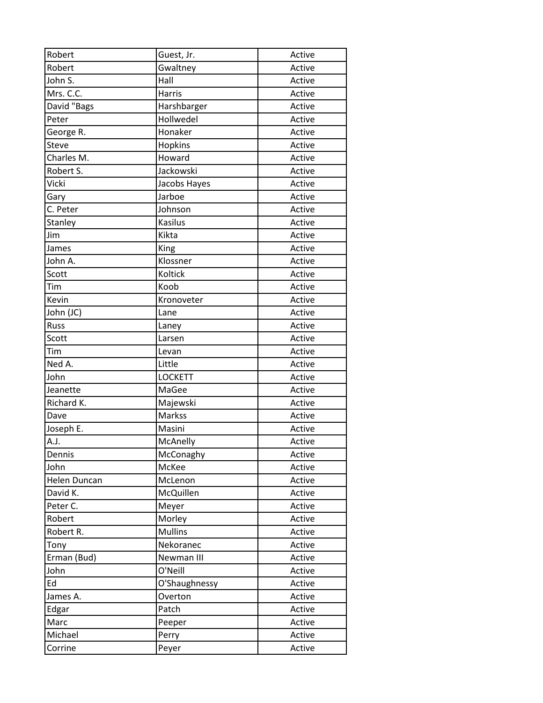| Robert       | Guest, Jr.     | Active |
|--------------|----------------|--------|
| Robert       | Gwaltney       | Active |
| John S.      | Hall           | Active |
| Mrs. C.C.    | <b>Harris</b>  | Active |
| David "Bags  | Harshbarger    | Active |
| Peter        | Hollwedel      | Active |
| George R.    | Honaker        | Active |
| Steve        | Hopkins        | Active |
| Charles M.   | Howard         | Active |
| Robert S.    | Jackowski      | Active |
| Vicki        | Jacobs Hayes   | Active |
| Gary         | Jarboe         | Active |
| C. Peter     | Johnson        | Active |
| Stanley      | Kasilus        | Active |
| Jim          | Kikta          | Active |
| James        | King           | Active |
| John A.      | Klossner       | Active |
| Scott        | Koltick        | Active |
| Tim          | Koob           | Active |
| Kevin        | Kronoveter     | Active |
| John (JC)    | Lane           | Active |
| Russ         | Laney          | Active |
| Scott        | Larsen         | Active |
| Tim          | Levan          | Active |
| Ned A.       | Little         | Active |
| John         | <b>LOCKETT</b> | Active |
| Jeanette     | MaGee          | Active |
| Richard K.   | Majewski       | Active |
| Dave         | <b>Markss</b>  | Active |
| Joseph E.    | Masini         | Active |
| A.J.         | McAnelly       | Active |
| Dennis       | McConaghy      | Active |
| John         | McKee          | Active |
| Helen Duncan | McLenon        | Active |
| David K.     | McQuillen      | Active |
| Peter C.     | Meyer          | Active |
| Robert       | Morley         | Active |
| Robert R.    | <b>Mullins</b> | Active |
| Tony         | Nekoranec      | Active |
| Erman (Bud)  | Newman III     | Active |
| John         | O'Neill        | Active |
| Ed           | O'Shaughnessy  | Active |
| James A.     | Overton        | Active |
| Edgar        | Patch          | Active |
| Marc         | Peeper         | Active |
| Michael      | Perry          | Active |
| Corrine      | Peyer          | Active |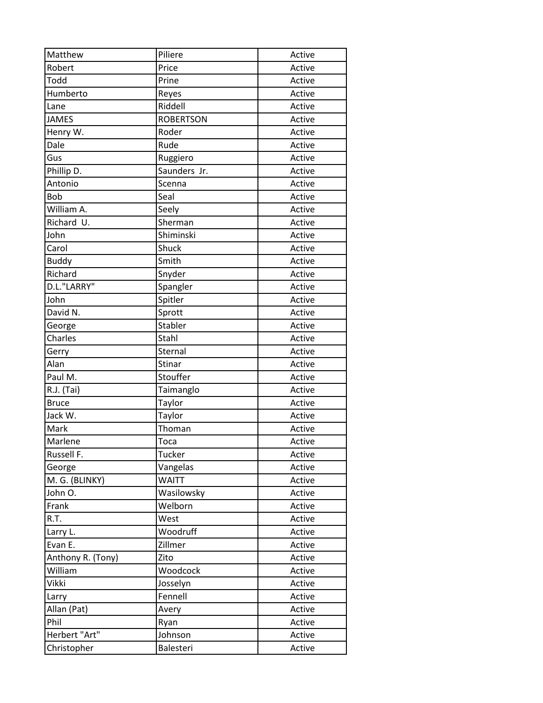| Matthew           | Piliere          | Active |
|-------------------|------------------|--------|
| Robert            | Price            | Active |
| Todd              | Prine            | Active |
| Humberto          | Reyes            | Active |
| Lane              | Riddell          | Active |
| <b>JAMES</b>      | <b>ROBERTSON</b> | Active |
| Henry W.          | Roder            | Active |
| Dale              | Rude             | Active |
| Gus               | Ruggiero         | Active |
| Phillip D.        | Saunders Jr.     | Active |
| Antonio           | Scenna           | Active |
| Bob               | Seal             | Active |
| William A.        | Seely            | Active |
| Richard U.        | Sherman          | Active |
| John              | Shiminski        | Active |
| Carol             | Shuck            | Active |
| <b>Buddy</b>      | Smith            | Active |
| Richard           | Snyder           | Active |
| D.L."LARRY"       | Spangler         | Active |
| John              | Spitler          | Active |
| David N.          | Sprott           | Active |
| George            | Stabler          | Active |
| Charles           | Stahl            | Active |
| Gerry             | Sternal          | Active |
| Alan              | Stinar           | Active |
| Paul M.           | Stouffer         | Active |
| R.J. (Tai)        | Taimanglo        | Active |
| <b>Bruce</b>      | Taylor           | Active |
| Jack W.           | Taylor           | Active |
| Mark              | Thoman           | Active |
| Marlene           | Toca             | Active |
| Russell F.        | <b>Tucker</b>    | Active |
| George            | Vangelas         | Active |
| M. G. (BLINKY)    | <b>WAITT</b>     | Active |
| John O.           | Wasilowsky       | Active |
| Frank             | Welborn          | Active |
| R.T.              | West             | Active |
| Larry L.          | Woodruff         | Active |
| Evan E.           | Zillmer          | Active |
| Anthony R. (Tony) | Zito             | Active |
| William           | Woodcock         | Active |
| Vikki             | Josselyn         | Active |
| Larry             | Fennell          | Active |
| Allan (Pat)       | Avery            | Active |
| Phil              | Ryan             | Active |
| Herbert "Art"     | Johnson          | Active |
| Christopher       | Balesteri        | Active |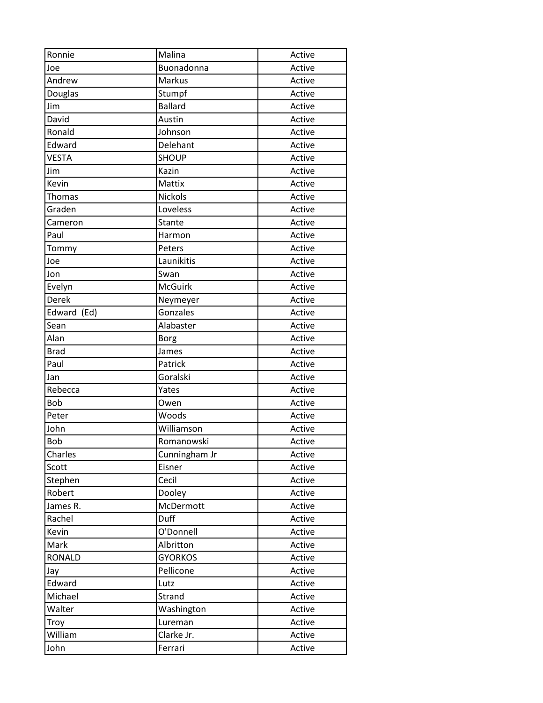| Ronnie        | Malina         | Active |
|---------------|----------------|--------|
| Joe           | Buonadonna     | Active |
| Andrew        | Markus         | Active |
| Douglas       | Stumpf         | Active |
| Jim           | <b>Ballard</b> | Active |
| David         | Austin         | Active |
| Ronald        | Johnson        | Active |
| Edward        | Delehant       | Active |
| <b>VESTA</b>  | <b>SHOUP</b>   | Active |
| Jim           | Kazin          | Active |
| Kevin         | Mattix         | Active |
| Thomas        | <b>Nickols</b> | Active |
| Graden        | Loveless       | Active |
| Cameron       | Stante         | Active |
| Paul          | Harmon         | Active |
| Tommy         | Peters         | Active |
| Joe           | Launikitis     | Active |
| Jon           | Swan           | Active |
| Evelyn        | <b>McGuirk</b> | Active |
| <b>Derek</b>  | Neymeyer       | Active |
| Edward (Ed)   | Gonzales       | Active |
| Sean          | Alabaster      | Active |
| Alan          | <b>Borg</b>    | Active |
| <b>Brad</b>   | James          | Active |
| Paul          | Patrick        | Active |
| Jan           | Goralski       | Active |
| Rebecca       | Yates          | Active |
| <b>Bob</b>    | Owen           | Active |
| Peter         | Woods          | Active |
| John          | Williamson     | Active |
| Bob           | Romanowski     | Active |
| Charles       | Cunningham Jr  | Active |
| Scott         | Eisner         | Active |
| Stephen       | Cecil          | Active |
| Robert        | Dooley         | Active |
| James R.      | McDermott      | Active |
| Rachel        | Duff           | Active |
| Kevin         | O'Donnell      | Active |
| Mark          | Albritton      | Active |
| <b>RONALD</b> | <b>GYORKOS</b> | Active |
| Jay           | Pellicone      | Active |
| Edward        | Lutz           | Active |
| Michael       | Strand         | Active |
| Walter        | Washington     | Active |
| Troy          | Lureman        | Active |
| William       | Clarke Jr.     | Active |
| John          | Ferrari        | Active |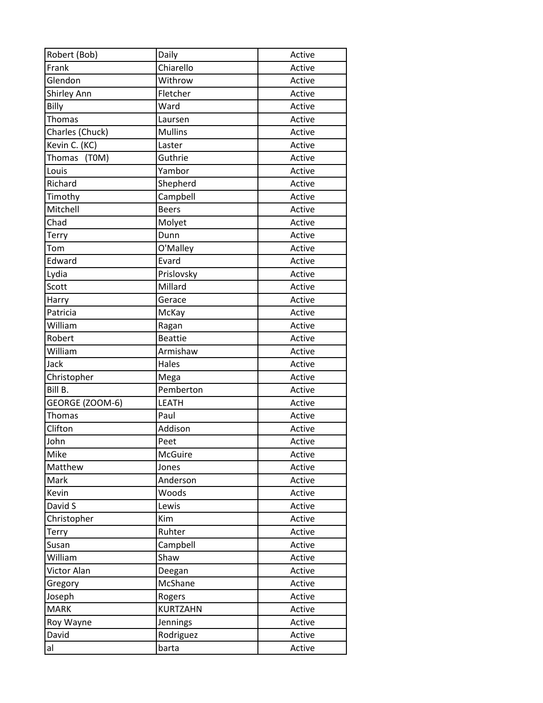| Robert (Bob)    | Daily           | Active |
|-----------------|-----------------|--------|
| Frank           | Chiarello       | Active |
| Glendon         | Withrow         | Active |
| Shirley Ann     | Fletcher        | Active |
| Billy           | Ward            | Active |
| Thomas          | Laursen         | Active |
| Charles (Chuck) | <b>Mullins</b>  | Active |
| Kevin C. (KC)   | Laster          | Active |
| Thomas (T0M)    | Guthrie         | Active |
| Louis           | Yambor          | Active |
| Richard         | Shepherd        | Active |
| Timothy         | Campbell        | Active |
| Mitchell        | <b>Beers</b>    | Active |
| Chad            | Molyet          | Active |
| <b>Terry</b>    | Dunn            | Active |
| Tom             | O'Malley        | Active |
| Edward          | Evard           | Active |
| Lydia           | Prislovsky      | Active |
| Scott           | Millard         | Active |
| Harry           | Gerace          | Active |
| Patricia        | McKay           | Active |
| William         | Ragan           | Active |
| Robert          | <b>Beattie</b>  | Active |
| William         | Armishaw        | Active |
| Jack            | Hales           | Active |
| Christopher     | Mega            | Active |
| Bill B.         | Pemberton       | Active |
| GEORGE (ZOOM-6) | <b>LEATH</b>    | Active |
| <b>Thomas</b>   | Paul            | Active |
| Clifton         | Addison         | Active |
| John            | Peet            | Active |
| Mike            | McGuire         | Active |
| Matthew         | Jones           | Active |
| Mark            | Anderson        | Active |
| Kevin           | Woods           | Active |
| David S         | Lewis           | Active |
| Christopher     | Kim             | Active |
| Terry           | Ruhter          | Active |
| Susan           | Campbell        | Active |
| William         | Shaw            | Active |
| Victor Alan     | Deegan          | Active |
| Gregory         | McShane         | Active |
| Joseph          | Rogers          | Active |
| <b>MARK</b>     | <b>KURTZAHN</b> | Active |
| Roy Wayne       | Jennings        | Active |
| David           | Rodriguez       | Active |
| al              | barta           | Active |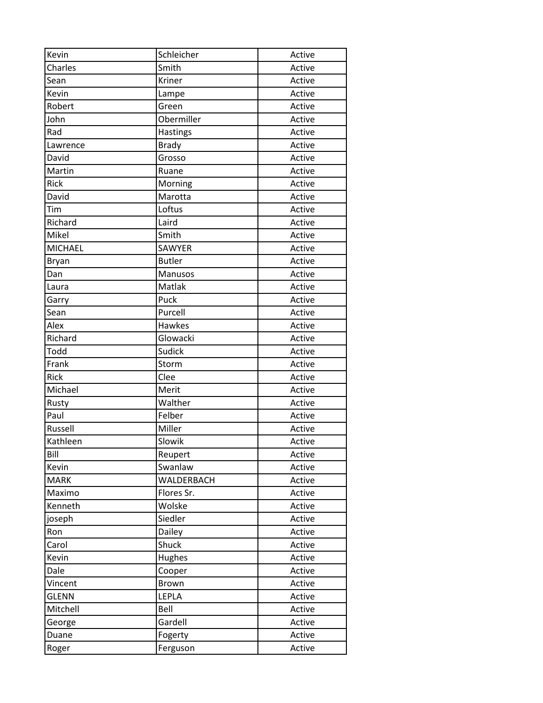| Kevin          | Schleicher    | Active |
|----------------|---------------|--------|
| Charles        | Smith         | Active |
| Sean           | Kriner        | Active |
| Kevin          | Lampe         | Active |
| Robert         | Green         | Active |
| John           | Obermiller    | Active |
| Rad            | Hastings      | Active |
| Lawrence       | <b>Brady</b>  | Active |
| David          | Grosso        | Active |
| Martin         | Ruane         | Active |
| <b>Rick</b>    | Morning       | Active |
| David          | Marotta       | Active |
| Tim            | Loftus        | Active |
| Richard        | Laird         | Active |
| Mikel          | Smith         | Active |
| <b>MICHAEL</b> | <b>SAWYER</b> | Active |
| <b>Bryan</b>   | <b>Butler</b> | Active |
| Dan            | Manusos       | Active |
| Laura          | Matlak        | Active |
| Garry          | Puck          | Active |
| Sean           | Purcell       | Active |
| Alex           | Hawkes        | Active |
| Richard        | Glowacki      | Active |
| Todd           | Sudick        | Active |
| Frank          | Storm         | Active |
| Rick           | Clee          | Active |
| Michael        | Merit         | Active |
| Rusty          | Walther       | Active |
| Paul           | Felber        | Active |
| Russell        | Miller        | Active |
| Kathleen       | Slowik        | Active |
| Bill           | Reupert       | Active |
| Kevin          | Swanlaw       | Active |
| <b>MARK</b>    | WALDERBACH    | Active |
| Maximo         | Flores Sr.    | Active |
| Kenneth        | Wolske        | Active |
| joseph         | Siedler       | Active |
| Ron            | Dailey        | Active |
| Carol          | Shuck         | Active |
| Kevin          | Hughes        | Active |
| Dale           | Cooper        | Active |
| Vincent        | <b>Brown</b>  | Active |
| <b>GLENN</b>   | LEPLA         | Active |
| Mitchell       | Bell          | Active |
| George         | Gardell       | Active |
| Duane          | Fogerty       | Active |
| Roger          | Ferguson      | Active |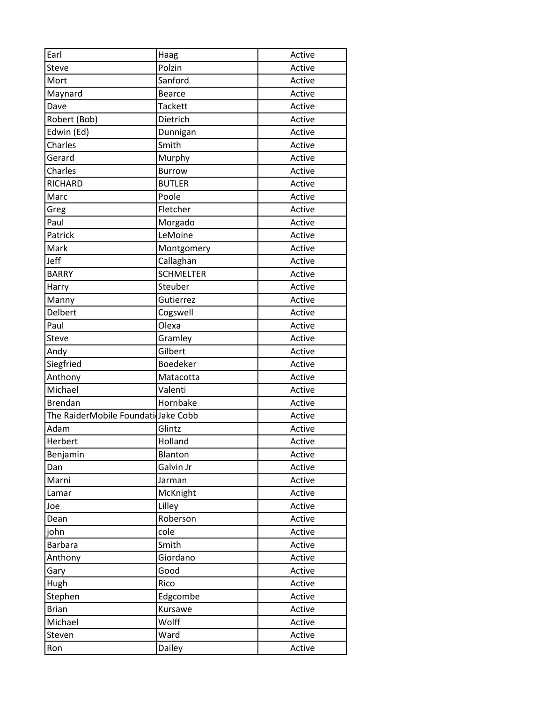| Earl                                | Haag             | Active |
|-------------------------------------|------------------|--------|
| Steve                               | Polzin           | Active |
| Mort                                | Sanford          | Active |
| Maynard                             | <b>Bearce</b>    | Active |
| Dave                                | <b>Tackett</b>   | Active |
| Robert (Bob)                        | Dietrich         | Active |
| Edwin (Ed)                          | Dunnigan         | Active |
| Charles                             | Smith            | Active |
| Gerard                              | Murphy           | Active |
| Charles                             | <b>Burrow</b>    | Active |
| <b>RICHARD</b>                      | <b>BUTLER</b>    | Active |
| Marc                                | Poole            | Active |
| Greg                                | Fletcher         | Active |
| Paul                                | Morgado          | Active |
| Patrick                             | LeMoine          | Active |
| Mark                                | Montgomery       | Active |
| Jeff                                | Callaghan        | Active |
| <b>BARRY</b>                        | <b>SCHMELTER</b> | Active |
| Harry                               | Steuber          | Active |
| Manny                               | Gutierrez        | Active |
| Delbert                             | Cogswell         | Active |
| Paul                                | Olexa            | Active |
| Steve                               | Gramley          | Active |
| Andy                                | Gilbert          | Active |
| Siegfried                           | Boedeker         | Active |
| Anthony                             | Matacotta        | Active |
| Michael                             | Valenti          | Active |
| <b>Brendan</b>                      | Hornbake         | Active |
| The RaiderMobile Foundati Jake Cobb |                  | Active |
| Adam                                | Glintz           | Active |
| Herbert                             | Holland          | Active |
| Benjamin                            | Blanton          | Active |
| Dan                                 | Galvin Jr        | Active |
| Marni                               | Jarman           | Active |
| Lamar                               | McKnight         | Active |
| Joe                                 | Lilley           | Active |
| Dean                                | Roberson         | Active |
| john                                | cole             | Active |
| <b>Barbara</b>                      | Smith            | Active |
| Anthony                             | Giordano         | Active |
| Gary                                | Good             | Active |
| Hugh                                | Rico             | Active |
| Stephen                             | Edgcombe         | Active |
| <b>Brian</b>                        | Kursawe          | Active |
| Michael                             | Wolff            | Active |
| Steven                              | Ward             | Active |
| Ron                                 | Dailey           | Active |